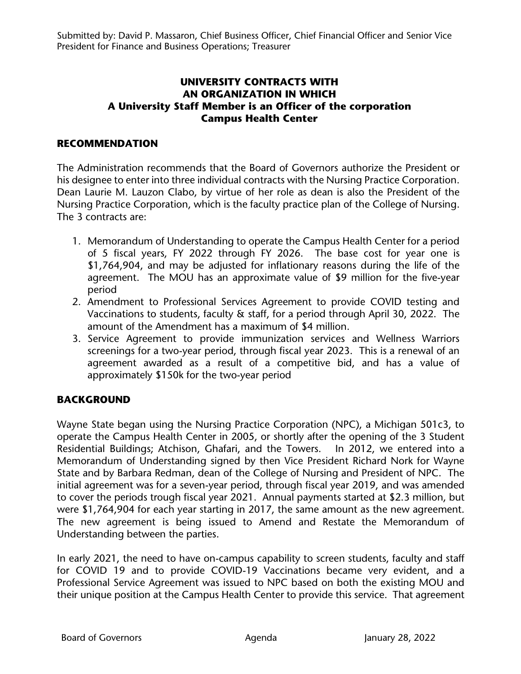## **UNIVERSITY CONTRACTS WITH AN ORGANIZATION IN WHICH A University Staff Member is an Officer of the corporation Campus Health Center**

## **RECOMMENDATION**

The Administration recommends that the Board of Governors authorize the President or his designee to enter into three individual contracts with the Nursing Practice Corporation. Dean Laurie M. Lauzon Clabo, by virtue of her role as dean is also the President of the Nursing Practice Corporation, which is the faculty practice plan of the College of Nursing. The 3 contracts are:

- 1. Memorandum of Understanding to operate the Campus Health Center for a period of 5 fiscal years, FY 2022 through FY 2026. The base cost for year one is \$1,764,904, and may be adjusted for inflationary reasons during the life of the agreement. The MOU has an approximate value of \$9 million for the five-year period
- 2. Amendment to Professional Services Agreement to provide COVID testing and Vaccinations to students, faculty & staff, for a period through April 30, 2022. The amount of the Amendment has a maximum of \$4 million.
- 3. Service Agreement to provide immunization services and Wellness Warriors screenings for a two-year period, through fiscal year 2023. This is a renewal of an agreement awarded as a result of a competitive bid, and has a value of approximately \$150k for the two-year period

## **BACKGROUND**

Wayne State began using the Nursing Practice Corporation (NPC), a Michigan 501c3, to operate the Campus Health Center in 2005, or shortly after the opening of the 3 Student Residential Buildings; Atchison, Ghafari, and the Towers. In 2012, we entered into a Memorandum of Understanding signed by then Vice President Richard Nork for Wayne State and by Barbara Redman, dean of the College of Nursing and President of NPC. The initial agreement was for a seven-year period, through fiscal year 2019, and was amended to cover the periods trough fiscal year 2021. Annual payments started at \$2.3 million, but were \$1,764,904 for each year starting in 2017, the same amount as the new agreement. The new agreement is being issued to Amend and Restate the Memorandum of Understanding between the parties.

In early 2021, the need to have on-campus capability to screen students, faculty and staff for COVID 19 and to provide COVID-19 Vaccinations became very evident, and a Professional Service Agreement was issued to NPC based on both the existing MOU and their unique position at the Campus Health Center to provide this service. That agreement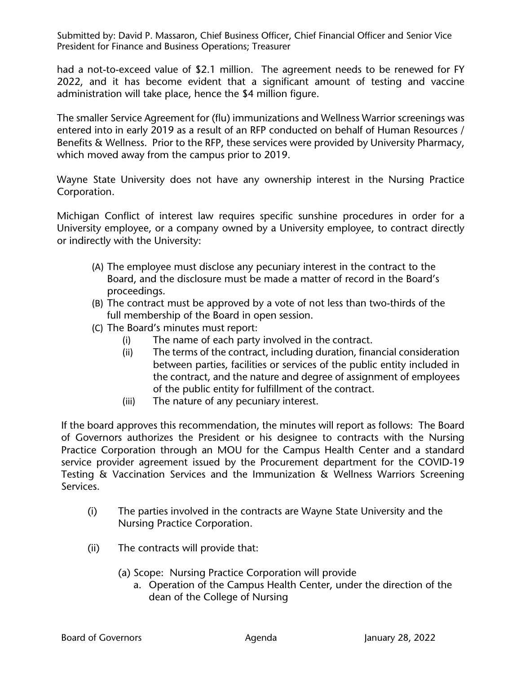Submitted by: David P. Massaron, Chief Business Officer, Chief Financial Officer and Senior Vice President for Finance and Business Operations; Treasurer

had a not-to-exceed value of \$2.1 million. The agreement needs to be renewed for FY 2022, and it has become evident that a significant amount of testing and vaccine administration will take place, hence the \$4 million figure.

The smaller Service Agreement for (flu) immunizations and Wellness Warrior screenings was entered into in early 2019 as a result of an RFP conducted on behalf of Human Resources / Benefits & Wellness. Prior to the RFP, these services were provided by University Pharmacy, which moved away from the campus prior to 2019.

Wayne State University does not have any ownership interest in the Nursing Practice Corporation.

Michigan Conflict of interest law requires specific sunshine procedures in order for a University employee, or a company owned by a University employee, to contract directly or indirectly with the University:

- (A) The employee must disclose any pecuniary interest in the contract to the Board, and the disclosure must be made a matter of record in the Board's proceedings.
- (B) The contract must be approved by a vote of not less than two-thirds of the full membership of the Board in open session.
- (C) The Board's minutes must report:
	- (i) The name of each party involved in the contract.
	- (ii) The terms of the contract, including duration, financial consideration between parties, facilities or services of the public entity included in the contract, and the nature and degree of assignment of employees of the public entity for fulfillment of the contract.
	- (iii) The nature of any pecuniary interest.

If the board approves this recommendation, the minutes will report as follows: The Board of Governors authorizes the President or his designee to contracts with the Nursing Practice Corporation through an MOU for the Campus Health Center and a standard service provider agreement issued by the Procurement department for the COVID-19 Testing & Vaccination Services and the Immunization & Wellness Warriors Screening Services.

- (i) The parties involved in the contracts are Wayne State University and the Nursing Practice Corporation.
- (ii) The contracts will provide that:
	- (a) Scope: Nursing Practice Corporation will provide
		- a. Operation of the Campus Health Center, under the direction of the dean of the College of Nursing